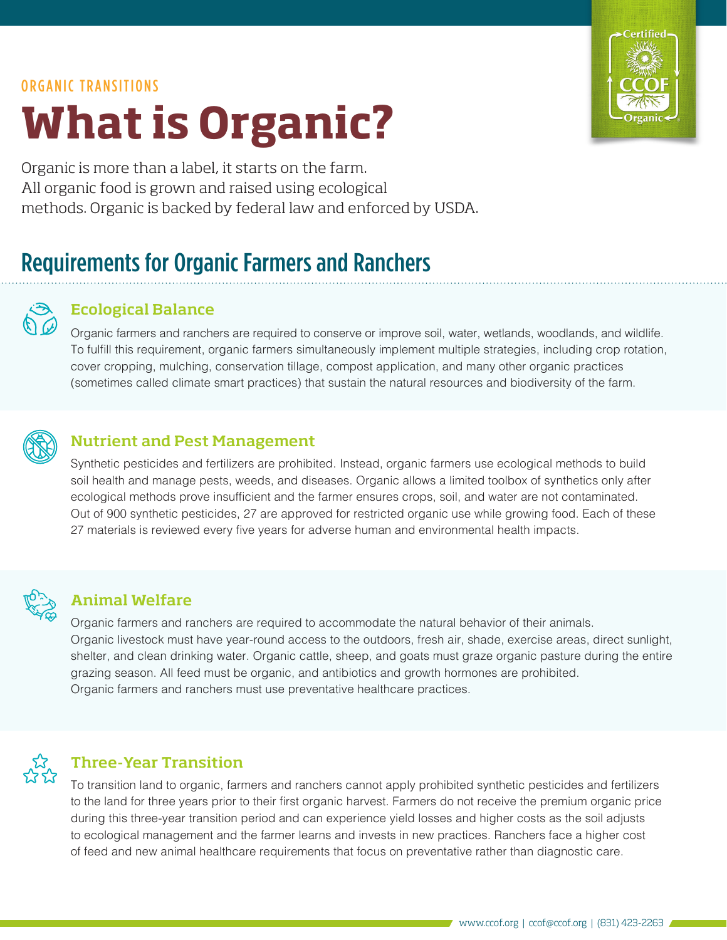# ORGANIC TRANSITIONS **What is Organic?**



Organic is more than a label, it starts on the farm. All organic food is grown and raised using ecological methods. Organic is backed by federal law and enforced by USDA.

## Requirements for Organic Farmers and Ranchers

#### Ecological Balance

Organic farmers and ranchers are required to conserve or improve soil, water, wetlands, woodlands, and wildlife. To fulfill this requirement, organic farmers simultaneously implement multiple strategies, including crop rotation, cover cropping, mulching, conservation tillage, compost application, and many other organic practices (sometimes called climate smart practices) that sustain the natural resources and biodiversity of the farm.



#### Nutrient and Pest Management

Synthetic pesticides and fertilizers are prohibited. Instead, organic farmers use ecological methods to build soil health and manage pests, weeds, and diseases. Organic allows a limited toolbox of synthetics only after ecological methods prove insufficient and the farmer ensures crops, soil, and water are not contaminated. Out of 900 synthetic pesticides, 27 are approved for restricted organic use while growing food. Each of these 27 materials is reviewed every five years for adverse human and environmental health impacts.



#### Animal Welfare

Organic farmers and ranchers are required to accommodate the natural behavior of their animals. Organic livestock must have year-round access to the outdoors, fresh air, shade, exercise areas, direct sunlight, shelter, and clean drinking water. Organic cattle, sheep, and goats must graze organic pasture during the entire grazing season. All feed must be organic, and antibiotics and growth hormones are prohibited. Organic farmers and ranchers must use preventative healthcare practices.



#### Three-Year Transition

To transition land to organic, farmers and ranchers cannot apply prohibited synthetic pesticides and fertilizers to the land for three years prior to their first organic harvest. Farmers do not receive the premium organic price during this three-year transition period and can experience yield losses and higher costs as the soil adjusts to ecological management and the farmer learns and invests in new practices. Ranchers face a higher cost of feed and new animal healthcare requirements that focus on preventative rather than diagnostic care.